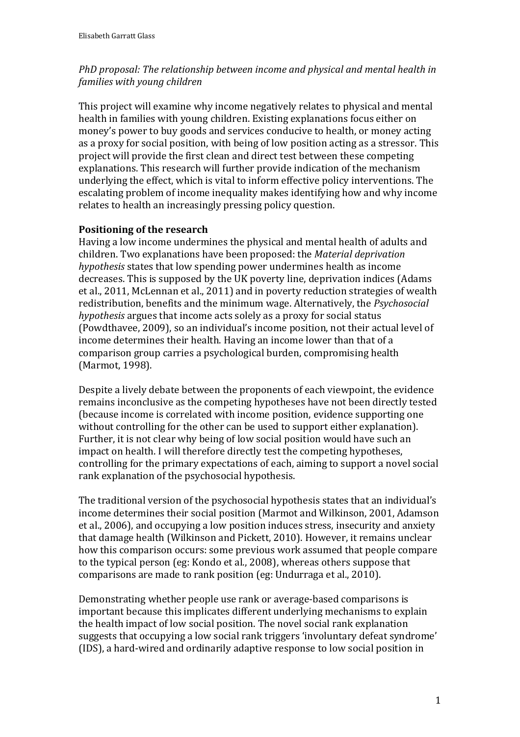# *PhD proposal: The relationship between income and physical and mental health in families with young children*

This project will examine why income negatively relates to physical and mental health in families with young children. Existing explanations focus either on money's power to buy goods and services conducive to health, or money acting as a proxy for social position, with being of low position acting as a stressor. This project will provide the first clean and direct test between these competing explanations. This research will further provide indication of the mechanism underlying the effect, which is vital to inform effective policy interventions. The escalating problem of income inequality makes identifying how and why income relates to health an increasingly pressing policy question.

# **Positioning of the research**

Having a low income undermines the physical and mental health of adults and children. Two explanations have been proposed: the *Material deprivation hypothesis* states that low spending power undermines health as income decreases. This is supposed by the UK poverty line, deprivation indices [\(Adams](#page-4-0)  [et al., 2011,](#page-4-0) [McLennan et al., 2011\)](#page-4-1) and in poverty reduction strategies of wealth redistribution, benefits and the minimum wage. Alternatively, the *Psychosocial hypothesis* argues that income acts solely as a proxy for social status [\(Powdthavee, 2009\)](#page-4-2), so an individual's income position, not their actual level of income determines their health. Having an income lower than that of a comparison group carries a psychological burden, compromising health [\(Marmot, 1998\)](#page-4-3).

Despite a lively debate between the proponents of each viewpoint, the evidence remains inconclusive as the competing hypotheses have not been directly tested (because income is correlated with income position, evidence supporting one without controlling for the other can be used to support either explanation). Further, it is not clear why being of low social position would have such an impact on health. I will therefore directly test the competing hypotheses, controlling for the primary expectations of each, aiming to support a novel social rank explanation of the psychosocial hypothesis.

The traditional version of the psychosocial hypothesis states that an individual's income determines their social position [\(Marmot and Wilkinson, 2001,](#page-4-4) [Adamson](#page-4-5)  [et al., 2006\)](#page-4-5), and occupying a low position induces stress, insecurity and anxiety that damage health [\(Wilkinson and Pickett, 2010\)](#page-4-6). However, it remains unclear how this comparison occurs: some previous work assumed that people compare to the typical person [\(eg: Kondo et al., 2008\)](#page-4-7), whereas others suppose that comparisons are made to rank position [\(eg: Undurraga et al., 2010\)](#page-4-8).

Demonstrating whether people use rank or average-based comparisons is important because this implicates different underlying mechanisms to explain the health impact of low social position. The novel social rank explanation suggests that occupying a low social rank triggers 'involuntary defeat syndrome' (IDS), a hard-wired and ordinarily adaptive response to low social position in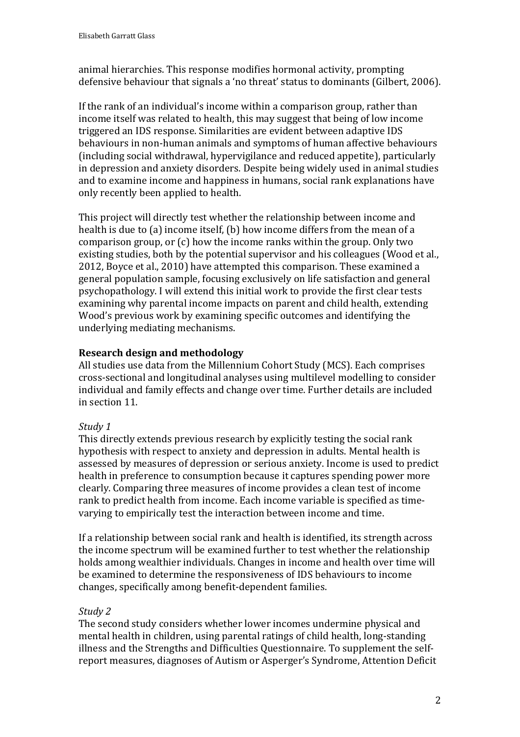animal hierarchies. This response modifies hormonal activity, prompting defensive behaviour that signals a 'no threat' status to dominants [\(Gilbert, 2006\)](#page-4-9).

If the rank of an individual's income within a comparison group, rather than income itself was related to health, this may suggest that being of low income triggered an IDS response. Similarities are evident between adaptive IDS behaviours in non-human animals and symptoms of human affective behaviours (including social withdrawal, hypervigilance and reduced appetite), particularly in depression and anxiety disorders. Despite being widely used in animal studies and to examine income and happiness in humans, social rank explanations have only recently been applied to health.

This project will directly test whether the relationship between income and health is due to (a) income itself, (b) how income differs from the mean of a comparison group, or (c) how the income ranks within the group. Only two existing studies, both by the potential supervisor and his colleagues [\(Wood et al.,](#page-4-10)  [2012,](#page-4-10) [Boyce et al., 2010\)](#page-4-11) have attempted this comparison. These examined a general population sample, focusing exclusively on life satisfaction and general psychopathology. I will extend this initial work to provide the first clear tests examining why parental income impacts on parent and child health, extending Wood's previous work by examining specific outcomes and identifying the underlying mediating mechanisms.

### **Research design and methodology**

All studies use data from the Millennium Cohort Study (MCS). Each comprises cross-sectional and longitudinal analyses using multilevel modelling to consider individual and family effects and change over time. Further details are included in section 11.

### *Study 1*

This directly extends previous research by explicitly testing the social rank hypothesis with respect to anxiety and depression in adults. Mental health is assessed by measures of depression or serious anxiety. Income is used to predict health in preference to consumption because it captures spending power more clearly. Comparing three measures of income provides a clean test of income rank to predict health from income. Each income variable is specified as timevarying to empirically test the interaction between income and time.

If a relationship between social rank and health is identified, its strength across the income spectrum will be examined further to test whether the relationship holds among wealthier individuals. Changes in income and health over time will be examined to determine the responsiveness of IDS behaviours to income changes, specifically among benefit-dependent families.

### *Study 2*

The second study considers whether lower incomes undermine physical and mental health in children, using parental ratings of child health, long-standing illness and the Strengths and Difficulties Questionnaire. To supplement the selfreport measures, diagnoses of Autism or Asperger's Syndrome, Attention Deficit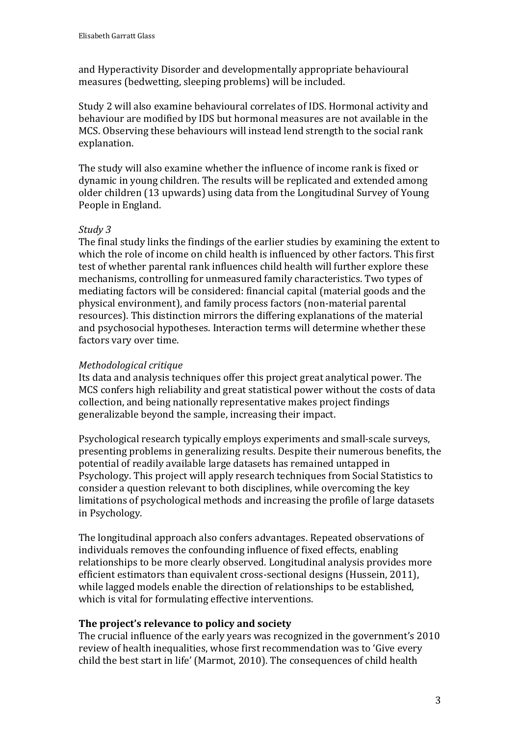and Hyperactivity Disorder and developmentally appropriate behavioural measures (bedwetting, sleeping problems) will be included.

Study 2 will also examine behavioural correlates of IDS. Hormonal activity and behaviour are modified by IDS but hormonal measures are not available in the MCS. Observing these behaviours will instead lend strength to the social rank explanation.

The study will also examine whether the influence of income rank is fixed or dynamic in young children. The results will be replicated and extended among older children (13 upwards) using data from the Longitudinal Survey of Young People in England.

# *Study 3*

The final study links the findings of the earlier studies by examining the extent to which the role of income on child health is influenced by other factors. This first test of whether parental rank influences child health will further explore these mechanisms, controlling for unmeasured family characteristics. Two types of mediating factors will be considered: financial capital (material goods and the physical environment), and family process factors (non-material parental resources). This distinction mirrors the differing explanations of the material and psychosocial hypotheses. Interaction terms will determine whether these factors vary over time.

# *Methodological critique*

Its data and analysis techniques offer this project great analytical power. The MCS confers high reliability and great statistical power without the costs of data collection, and being nationally representative makes project findings generalizable beyond the sample, increasing their impact.

Psychological research typically employs experiments and small-scale surveys, presenting problems in generalizing results. Despite their numerous benefits, the potential of readily available large datasets has remained untapped in Psychology. This project will apply research techniques from Social Statistics to consider a question relevant to both disciplines, while overcoming the key limitations of psychological methods and increasing the profile of large datasets in Psychology.

The longitudinal approach also confers advantages. Repeated observations of individuals removes the confounding influence of fixed effects, enabling relationships to be more clearly observed. Longitudinal analysis provides more efficient estimators than equivalent cross-sectional designs [\(Hussein, 2011\)](#page-4-12), while lagged models enable the direction of relationships to be established, which is vital for formulating effective interventions.

### **The project's relevance to policy and society**

The crucial influence of the early years was recognized in the government's 2010 review of health inequalities, whose first recommendation was to 'Give every child the best start in life' [\(Marmot, 2010\)](#page-4-13). The consequences of child health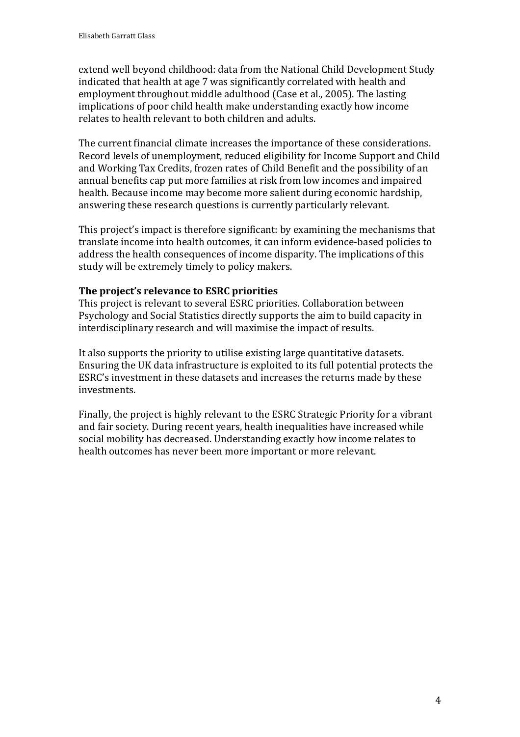extend well beyond childhood: data from the National Child Development Study indicated that health at age 7 was significantly correlated with health and employment throughout middle adulthood [\(Case et al., 2005\)](#page-4-14). The lasting implications of poor child health make understanding exactly how income relates to health relevant to both children and adults.

The current financial climate increases the importance of these considerations. Record levels of unemployment, reduced eligibility for Income Support and Child and Working Tax Credits, frozen rates of Child Benefit and the possibility of an annual benefits cap put more families at risk from low incomes and impaired health. Because income may become more salient during economic hardship, answering these research questions is currently particularly relevant.

This project's impact is therefore significant: by examining the mechanisms that translate income into health outcomes, it can inform evidence-based policies to address the health consequences of income disparity. The implications of this study will be extremely timely to policy makers.

### **The project's relevance to ESRC priorities**

This project is relevant to several ESRC priorities. Collaboration between Psychology and Social Statistics directly supports the aim to build capacity in interdisciplinary research and will maximise the impact of results.

It also supports the priority to utilise existing large quantitative datasets. Ensuring the UK data infrastructure is exploited to its full potential protects the ESRC's investment in these datasets and increases the returns made by these investments.

Finally, the project is highly relevant to the ESRC Strategic Priority for a vibrant and fair society. During recent years, health inequalities have increased while social mobility has decreased. Understanding exactly how income relates to health outcomes has never been more important or more relevant.